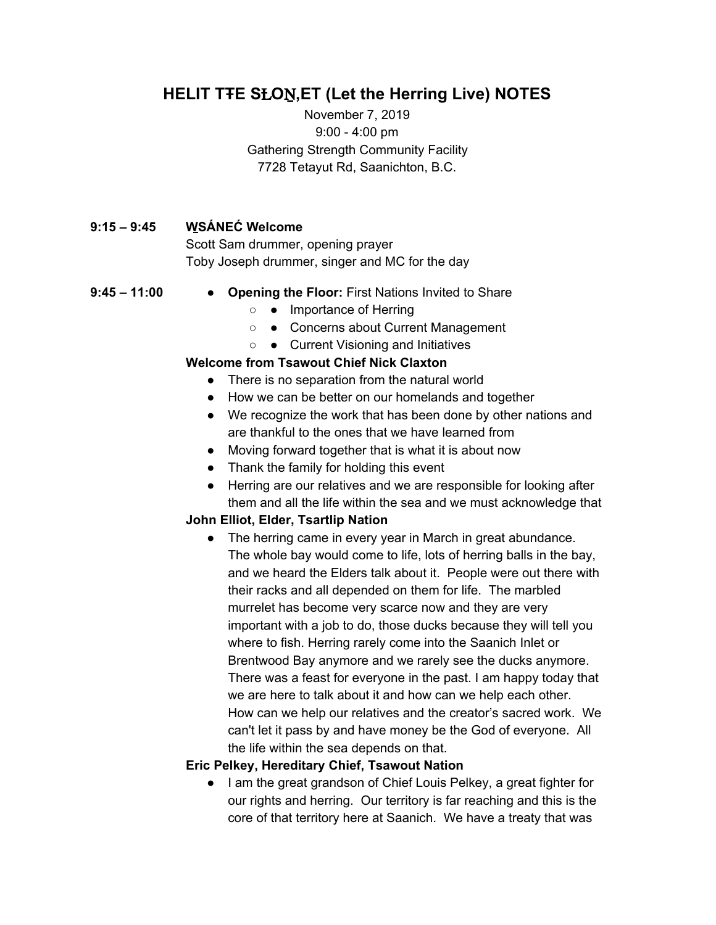## **HELIT TŦE S**Ƚ**O**Ṉ**,ET (Let the Herring Live) NOTES**

November 7, 2019 9:00 - 4:00 pm Gathering Strength Community Facility 7728 Tetayut Rd, Saanichton, B.C.

#### **9:15 – 9:45 W**̱**SÁNEĆ Welcome**

Scott Sam drummer, opening prayer Toby Joseph drummer, singer and MC for the day

- 
- **9:45 – 11:00 Opening the Floor:** First Nations Invited to Share
	- ● Importance of Herring
	- ● Concerns about Current Management
	- ● Current Visioning and Initiatives

#### **Welcome from Tsawout Chief Nick Claxton**

- There is no separation from the natural world
- How we can be better on our homelands and together
- We recognize the work that has been done by other nations and are thankful to the ones that we have learned from
- Moving forward together that is what it is about now
- Thank the family for holding this event
- Herring are our relatives and we are responsible for looking after them and all the life within the sea and we must acknowledge that

#### **John Elliot, Elder, Tsartlip Nation**

• The herring came in every year in March in great abundance. The whole bay would come to life, lots of herring balls in the bay, and we heard the Elders talk about it. People were out there with their racks and all depended on them for life. The marbled murrelet has become very scarce now and they are very important with a job to do, those ducks because they will tell you where to fish. Herring rarely come into the Saanich Inlet or Brentwood Bay anymore and we rarely see the ducks anymore. There was a feast for everyone in the past. I am happy today that we are here to talk about it and how can we help each other. How can we help our relatives and the creator's sacred work. We can't let it pass by and have money be the God of everyone. All the life within the sea depends on that.

#### **Eric Pelkey, Hereditary Chief, Tsawout Nation**

● I am the great grandson of Chief Louis Pelkey, a great fighter for our rights and herring. Our territory is far reaching and this is the core of that territory here at Saanich. We have a treaty that was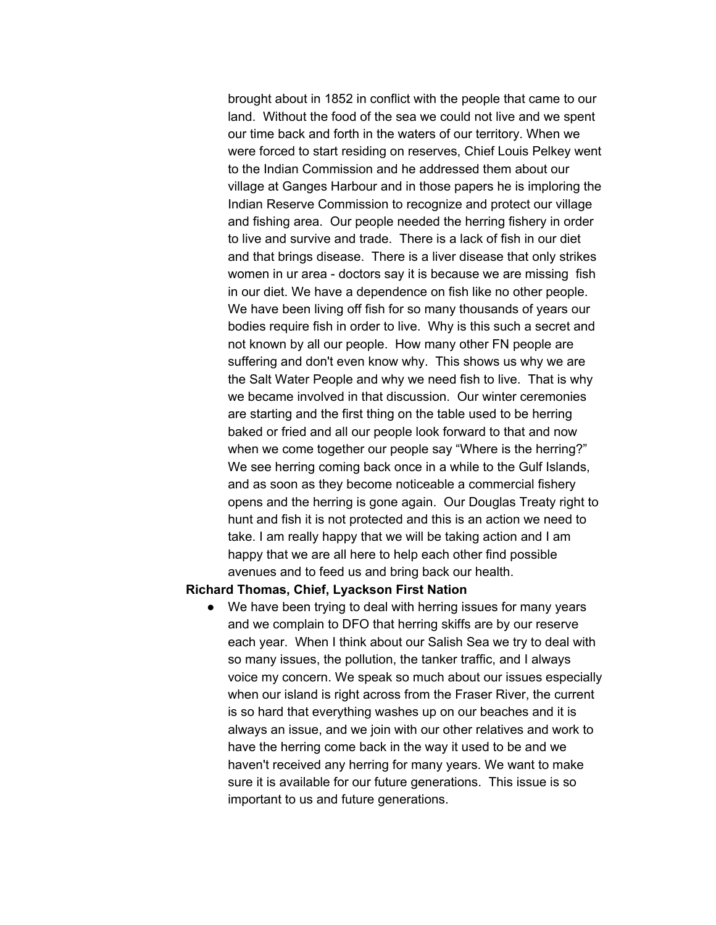brought about in 1852 in conflict with the people that came to our land. Without the food of the sea we could not live and we spent our time back and forth in the waters of our territory. When we were forced to start residing on reserves, Chief Louis Pelkey went to the Indian Commission and he addressed them about our village at Ganges Harbour and in those papers he is imploring the Indian Reserve Commission to recognize and protect our village and fishing area. Our people needed the herring fishery in order to live and survive and trade. There is a lack of fish in our diet and that brings disease. There is a liver disease that only strikes women in ur area - doctors say it is because we are missing fish in our diet. We have a dependence on fish like no other people. We have been living off fish for so many thousands of years our bodies require fish in order to live. Why is this such a secret and not known by all our people. How many other FN people are suffering and don't even know why. This shows us why we are the Salt Water People and why we need fish to live. That is why we became involved in that discussion. Our winter ceremonies are starting and the first thing on the table used to be herring baked or fried and all our people look forward to that and now when we come together our people say "Where is the herring?" We see herring coming back once in a while to the Gulf Islands, and as soon as they become noticeable a commercial fishery opens and the herring is gone again. Our Douglas Treaty right to hunt and fish it is not protected and this is an action we need to take. I am really happy that we will be taking action and I am happy that we are all here to help each other find possible avenues and to feed us and bring back our health.

#### **Richard Thomas, Chief, Lyackson First Nation**

● We have been trying to deal with herring issues for many years and we complain to DFO that herring skiffs are by our reserve each year. When I think about our Salish Sea we try to deal with so many issues, the pollution, the tanker traffic, and I always voice my concern. We speak so much about our issues especially when our island is right across from the Fraser River, the current is so hard that everything washes up on our beaches and it is always an issue, and we join with our other relatives and work to have the herring come back in the way it used to be and we haven't received any herring for many years. We want to make sure it is available for our future generations. This issue is so important to us and future generations.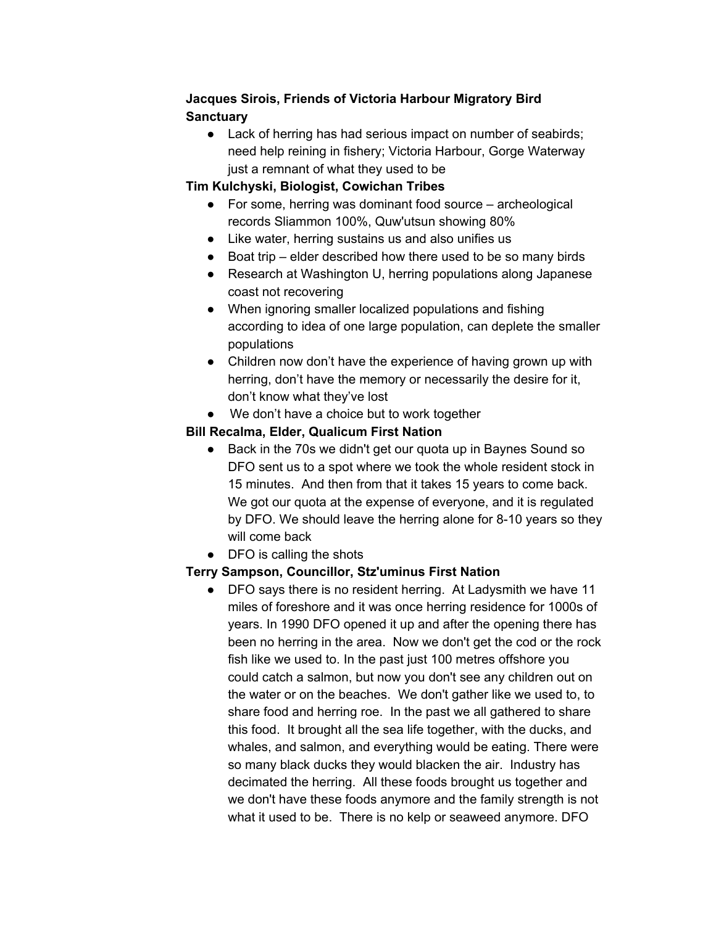## **Jacques Sirois, Friends of Victoria Harbour Migratory Bird Sanctuary**

• Lack of herring has had serious impact on number of seabirds; need help reining in fishery; Victoria Harbour, Gorge Waterway just a remnant of what they used to be

#### **Tim Kulchyski, Biologist, Cowichan Tribes**

- $\bullet$  For some, herring was dominant food source archeological records Sliammon 100%, Quw'utsun showing 80%
- Like water, herring sustains us and also unifies us
- Boat trip elder described how there used to be so many birds
- Research at Washington U, herring populations along Japanese coast not recovering
- When ignoring smaller localized populations and fishing according to idea of one large population, can deplete the smaller populations
- Children now don't have the experience of having grown up with herring, don't have the memory or necessarily the desire for it, don't know what they've lost
- We don't have a choice but to work together

#### **Bill Recalma, Elder, Qualicum First Nation**

- Back in the 70s we didn't get our quota up in Baynes Sound so DFO sent us to a spot where we took the whole resident stock in 15 minutes. And then from that it takes 15 years to come back. We got our quota at the expense of everyone, and it is regulated by DFO. We should leave the herring alone for 8-10 years so they will come back
- DFO is calling the shots

## **Terry Sampson, Councillor, Stz'uminus First Nation**

DFO says there is no resident herring. At Ladysmith we have 11 miles of foreshore and it was once herring residence for 1000s of years. In 1990 DFO opened it up and after the opening there has been no herring in the area. Now we don't get the cod or the rock fish like we used to. In the past just 100 metres offshore you could catch a salmon, but now you don't see any children out on the water or on the beaches. We don't gather like we used to, to share food and herring roe. In the past we all gathered to share this food. It brought all the sea life together, with the ducks, and whales, and salmon, and everything would be eating. There were so many black ducks they would blacken the air. Industry has decimated the herring. All these foods brought us together and we don't have these foods anymore and the family strength is not what it used to be. There is no kelp or seaweed anymore. DFO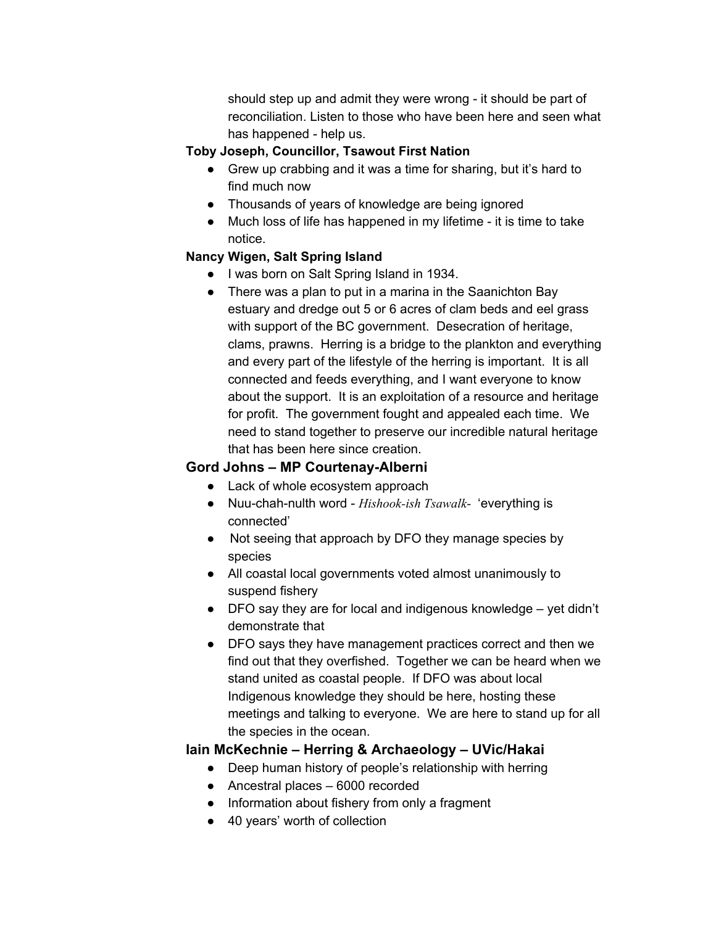should step up and admit they were wrong - it should be part of reconciliation. Listen to those who have been here and seen what has happened - help us.

#### **Toby Joseph, Councillor, Tsawout First Nation**

- Grew up crabbing and it was a time for sharing, but it's hard to find much now
- Thousands of years of knowledge are being ignored
- Much loss of life has happened in my lifetime it is time to take notice.

#### **Nancy Wigen, Salt Spring Island**

- I was born on Salt Spring Island in 1934.
- There was a plan to put in a marina in the Saanichton Bay estuary and dredge out 5 or 6 acres of clam beds and eel grass with support of the BC government. Desecration of heritage, clams, prawns. Herring is a bridge to the plankton and everything and every part of the lifestyle of the herring is important. It is all connected and feeds everything, and I want everyone to know about the support. It is an exploitation of a resource and heritage for profit. The government fought and appealed each time. We need to stand together to preserve our incredible natural heritage that has been here since creation.

## **Gord Johns – MP Courtenay-Alberni**

- Lack of whole ecosystem approach
- Nuu-chah-nulth word *Hishook-ish Tsawalk* 'everything is connected'
- Not seeing that approach by DFO they manage species by species
- All coastal local governments voted almost unanimously to suspend fishery
- DFO say they are for local and indigenous knowledge yet didn't demonstrate that
- DFO says they have management practices correct and then we find out that they overfished. Together we can be heard when we stand united as coastal people. If DFO was about local Indigenous knowledge they should be here, hosting these meetings and talking to everyone. We are here to stand up for all the species in the ocean.

## **Iain McKechnie – Herring & Archaeology – UVic/Hakai**

- Deep human history of people's relationship with herring
- Ancestral places 6000 recorded
- Information about fishery from only a fragment
- 40 years' worth of collection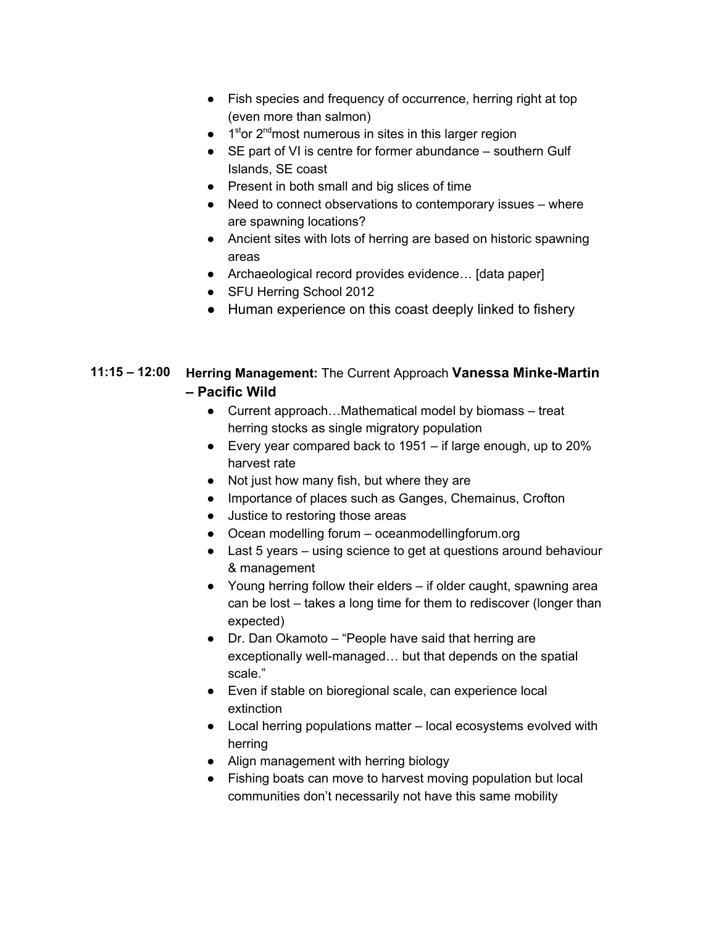- Fish species and frequency of occurrence, herring right at top (even more than salmon)
- $\bullet$  1<sup>st</sup>or 2<sup>nd</sup> most numerous in sites in this larger region
- SE part of VI is centre for former abundance southern Gulf Islands, SE coast
- Present in both small and big slices of time
- Need to connect observations to contemporary issues where are spawning locations?
- Ancient sites with lots of herring are based on historic spawning areas
- Archaeological record provides evidence… [data paper]
- SFU Herring School 2012
- Human experience on this coast deeply linked to fishery

## **11:15 – 12:00 Herring Management:** The Current Approach **Vanessa Minke-Martin – Pacific Wild**

- Current approach…Mathematical model by biomass treat herring stocks as single migratory population
- Every year compared back to 1951 if large enough, up to 20% harvest rate
- Not just how many fish, but where they are
- Importance of places such as Ganges, Chemainus, Crofton
- Justice to restoring those areas
- Ocean modelling forum oceanmodellingforum.org
- Last 5 years using science to get at questions around behaviour & management
- Young herring follow their elders if older caught, spawning area can be lost – takes a long time for them to rediscover (longer than expected)
- Dr. Dan Okamoto "People have said that herring are exceptionally well-managed… but that depends on the spatial scale."
- Even if stable on bioregional scale, can experience local extinction
- Local herring populations matter local ecosystems evolved with herring
- Align management with herring biology
- Fishing boats can move to harvest moving population but local communities don't necessarily not have this same mobility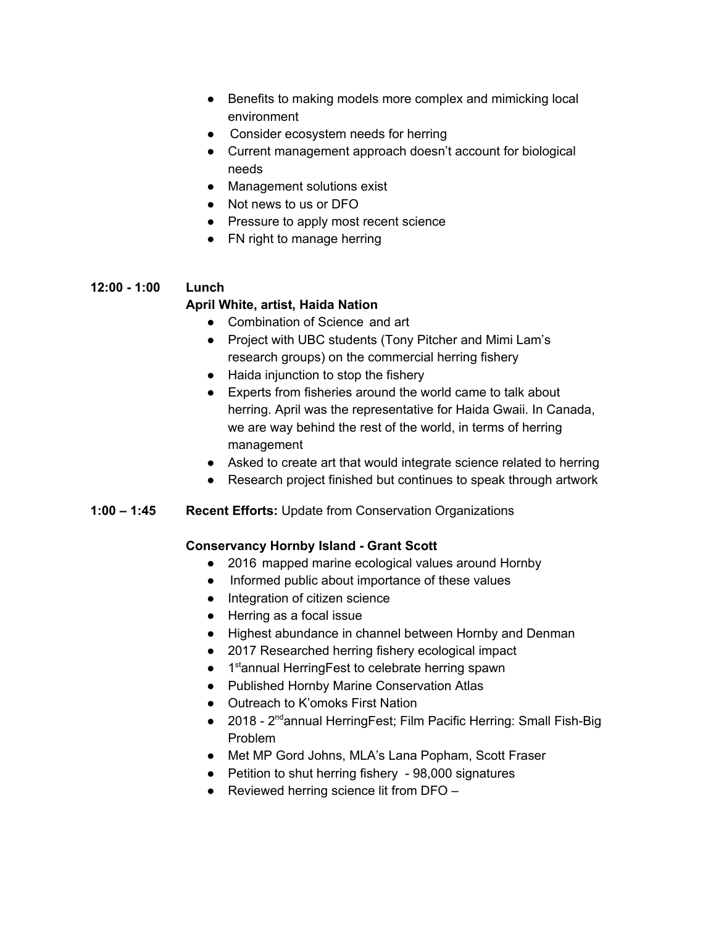- Benefits to making models more complex and mimicking local environment
- Consider ecosystem needs for herring
- Current management approach doesn't account for biological needs
- Management solutions exist
- Not news to us or DFO
- Pressure to apply most recent science
- FN right to manage herring

#### **12:00 - 1:00 Lunch April White, artist, Haida Nation**

- Combination of Science and art
- Project with UBC students (Tony Pitcher and Mimi Lam's research groups) on the commercial herring fishery
- Haida injunction to stop the fishery
- Experts from fisheries around the world came to talk about herring. April was the representative for Haida Gwaii. In Canada, we are way behind the rest of the world, in terms of herring management
- Asked to create art that would integrate science related to herring
- Research project finished but continues to speak through artwork
- **1:00 – 1:45 Recent Efforts:** Update from Conservation Organizations

#### **Conservancy Hornby Island - Grant Scott**

- 2016 mapped marine ecological values around Hornby
- Informed public about importance of these values
- Integration of citizen science
- Herring as a focal issue
- Highest abundance in channel between Hornby and Denman
- 2017 Researched herring fishery ecological impact
- 1<sup>st</sup>annual HerringFest to celebrate herring spawn
- Published Hornby Marine Conservation Atlas
- Outreach to K'omoks First Nation
- 2018 2<sup>nd</sup>annual HerringFest; Film Pacific Herring: Small Fish-Big Problem
- Met MP Gord Johns, MLA's Lana Popham, Scott Fraser
- Petition to shut herring fishery 98,000 signatures
- $\bullet$  Reviewed herring science lit from DFO –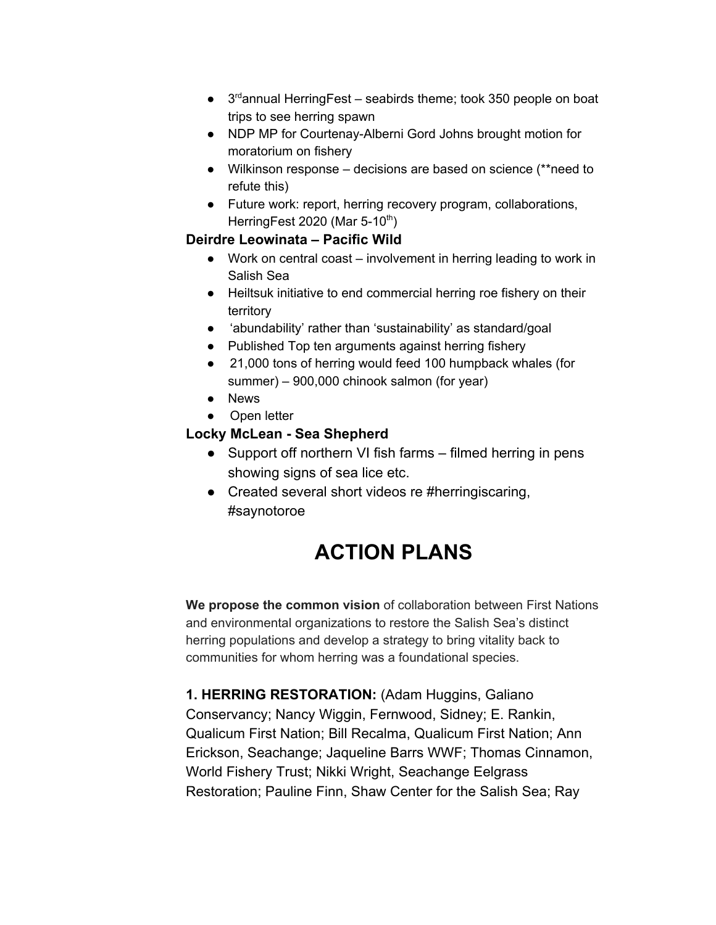- $\bullet$  3<sup>rd</sup>annual Herring Fest seabirds theme; took 350 people on boat trips to see herring spawn
- NDP MP for Courtenay-Alberni Gord Johns brought motion for moratorium on fishery
- Wilkinson response decisions are based on science (\*\*need to refute this)
- Future work: report, herring recovery program, collaborations, HerringFest 2020 (Mar 5-10<sup>th</sup>)

#### **Deirdre Leowinata – Pacific Wild**

- Work on central coast involvement in herring leading to work in Salish Sea
- Heiltsuk initiative to end commercial herring roe fishery on their territory
- 'abundability' rather than 'sustainability' as standard/goal
- Published Top ten arguments against herring fishery
- 21,000 tons of herring would feed 100 humpback whales (for summer) – 900,000 chinook salmon (for year)
- News
- Open letter

## **Locky McLean - Sea Shepherd**

- Support off northern VI fish farms filmed herring in pens showing signs of sea lice etc.
- Created several short videos re #herringiscaring, #saynotoroe

# **ACTION PLANS**

**We propose the common vision** of collaboration between First Nations and environmental organizations to restore the Salish Sea's distinct herring populations and develop a strategy to bring vitality back to communities for whom herring was a foundational species.

**1. HERRING RESTORATION:** (Adam Huggins, Galiano Conservancy; Nancy Wiggin, Fernwood, Sidney; E. Rankin, Qualicum First Nation; Bill Recalma, Qualicum First Nation; Ann Erickson, Seachange; Jaqueline Barrs WWF; Thomas Cinnamon, World Fishery Trust; Nikki Wright, Seachange Eelgrass Restoration; Pauline Finn, Shaw Center for the Salish Sea; Ray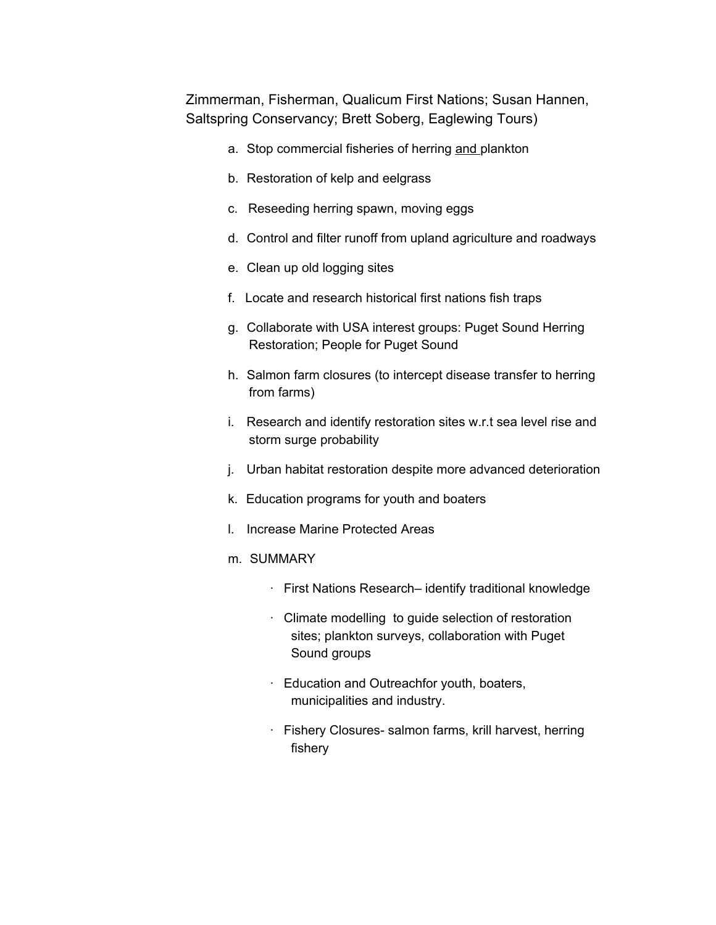Zimmerman, Fisherman, Qualicum First Nations; Susan Hannen, Saltspring Conservancy; Brett Soberg, Eaglewing Tours)

- a. Stop commercial fisheries of herring and plankton
- b. Restoration of kelp and eelgrass
- c. Reseeding herring spawn, moving eggs
- d. Control and filter runoff from upland agriculture and roadways
- e. Clean up old logging sites
- f. Locate and research historical first nations fish traps
- g. Collaborate with USA interest groups: Puget Sound Herring Restoration; People for Puget Sound
- h. Salmon farm closures (to intercept disease transfer to herring from farms)
- i. Research and identify restoration sites w.r.t sea level rise and storm surge probability
- j. Urban habitat restoration despite more advanced deterioration
- k. Education programs for youth and boaters
- l. Increase Marine Protected Areas
- m. SUMMARY
	- · First Nations Research– identify traditional knowledge
	- · Climate modelling to guide selection of restoration sites; plankton surveys, collaboration with Puget Sound groups
	- · Education and Outreachfor youth, boaters, municipalities and industry.
	- · Fishery Closures- salmon farms, krill harvest, herring fishery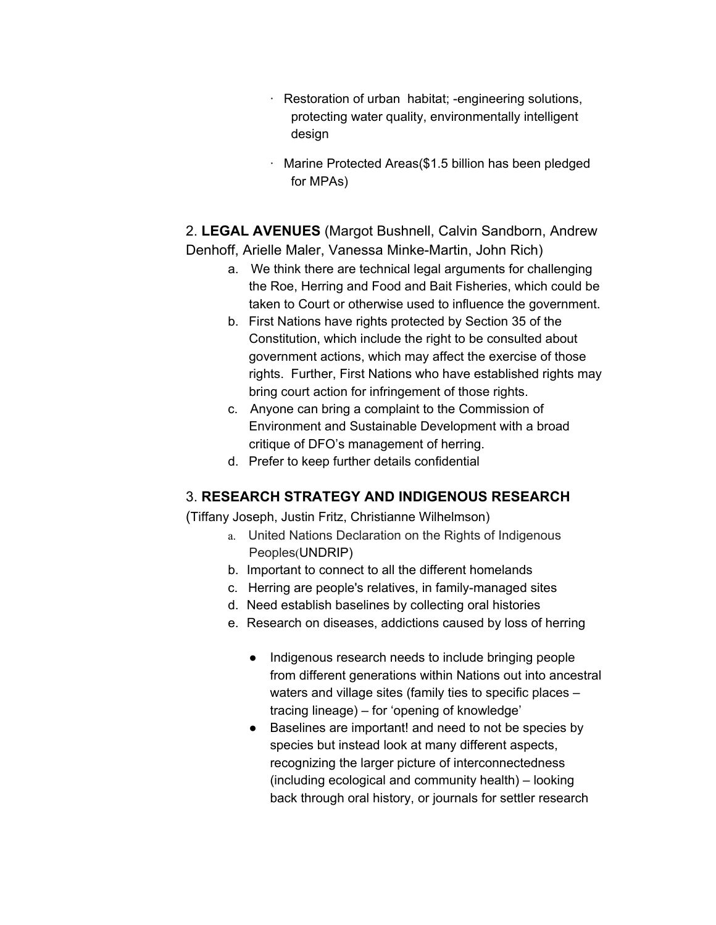- · Restoration of urban habitat; -engineering solutions, protecting water quality, environmentally intelligent design
- · Marine Protected Areas(\$1.5 billion has been pledged for MPAs)

2. **LEGAL AVENUES** (Margot Bushnell, Calvin Sandborn, Andrew Denhoff, Arielle Maler, Vanessa Minke-Martin, John Rich)

- a. We think there are technical legal arguments for challenging the Roe, Herring and Food and Bait Fisheries, which could be taken to Court or otherwise used to influence the government.
- b. First Nations have rights protected by Section 35 of the Constitution, which include the right to be consulted about government actions, which may affect the exercise of those rights. Further, First Nations who have established rights may bring court action for infringement of those rights.
- c. Anyone can bring a complaint to the Commission of Environment and Sustainable Development with a broad critique of DFO's management of herring.
- d. Prefer to keep further details confidential

## 3. **RESEARCH STRATEGY AND INDIGENOUS RESEARCH**

(Tiffany Joseph, Justin Fritz, Christianne Wilhelmson)

- a. United Nations Declaration on the Rights of Indigenous Peoples(UNDRIP)
- b. Important to connect to all the different homelands
- c. Herring are people's relatives, in family-managed sites
- d. Need establish baselines by collecting oral histories
- e. Research on diseases, addictions caused by loss of herring
	- Indigenous research needs to include bringing people from different generations within Nations out into ancestral waters and village sites (family ties to specific places – tracing lineage) – for 'opening of knowledge'
	- Baselines are important! and need to not be species by species but instead look at many different aspects, recognizing the larger picture of interconnectedness (including ecological and community health) – looking back through oral history, or journals for settler research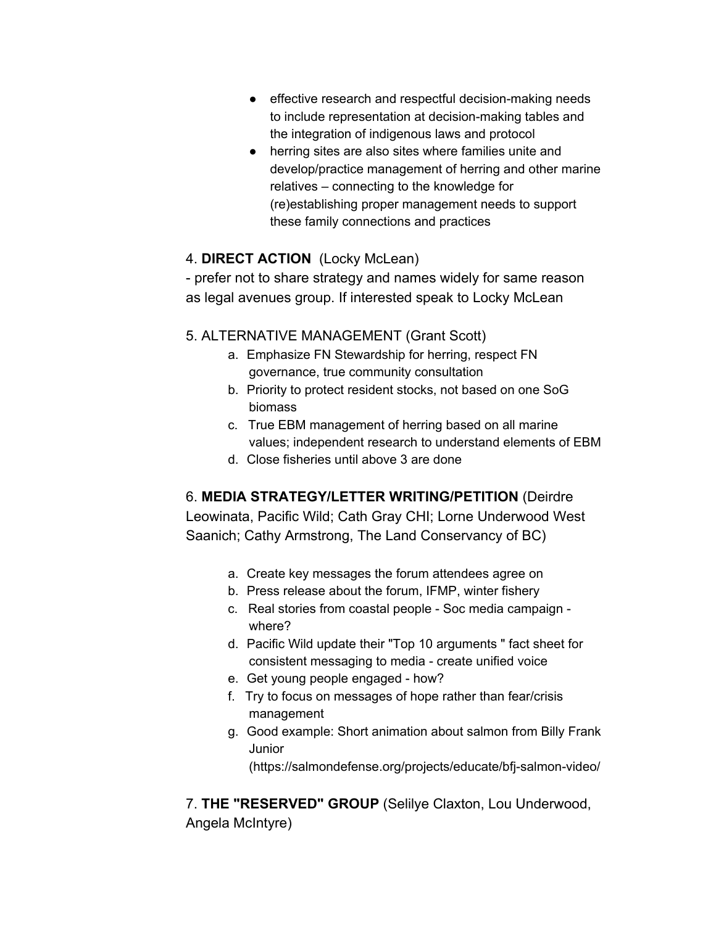- effective research and respectful decision-making needs to include representation at decision-making tables and the integration of indigenous laws and protocol
- herring sites are also sites where families unite and develop/practice management of herring and other marine relatives – connecting to the knowledge for (re)establishing proper management needs to support these family connections and practices

## 4. **DIRECT ACTION** (Locky McLean)

- prefer not to share strategy and names widely for same reason as legal avenues group. If interested speak to Locky McLean

## 5. ALTERNATIVE MANAGEMENT (Grant Scott)

- a. Emphasize FN Stewardship for herring, respect FN governance, true community consultation
- b. Priority to protect resident stocks, not based on one SoG biomass
- c. True EBM management of herring based on all marine values; independent research to understand elements of EBM
- d. Close fisheries until above 3 are done

## 6. **MEDIA STRATEGY/LETTER WRITING/PETITION** (Deirdre

Leowinata, Pacific Wild; Cath Gray CHI; Lorne Underwood West Saanich; Cathy Armstrong, The Land Conservancy of BC)

- a. Create key messages the forum attendees agree on
- b. Press release about the forum, IFMP, winter fishery
- c. Real stories from coastal people Soc media campaign where?
- d. Pacific Wild update their "Top 10 arguments " fact sheet for consistent messaging to media - create unified voice
- e. Get young people engaged how?
- f. Try to focus on messages of hope rather than fear/crisis management
- g. Good example: Short animation about salmon from Billy Frank Junior

(https://salmondefense.org/projects/educate/bfj-salmon-video/

7. **THE "RESERVED" GROUP** (Selilye Claxton, Lou Underwood, Angela McIntyre)